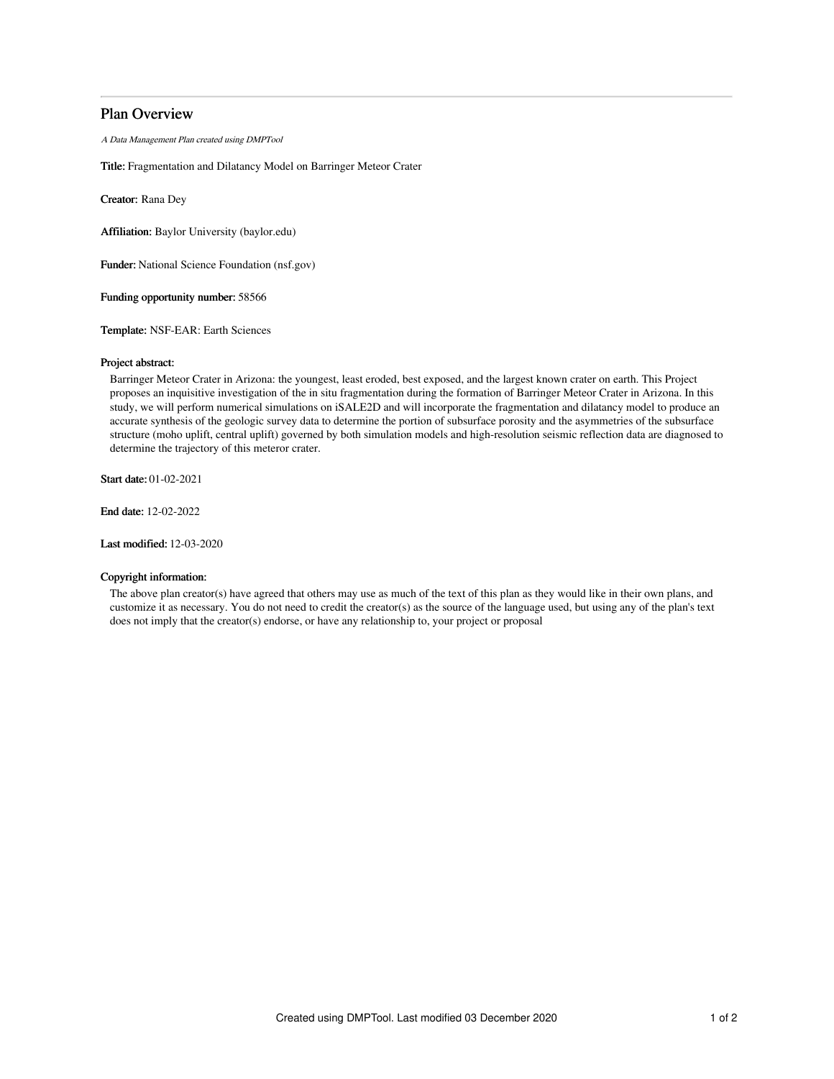# Plan Overview

A Data Management Plan created using DMPTool

Title: Fragmentation and Dilatancy Model on Barringer Meteor Crater

Creator: Rana Dey

Affiliation: Baylor University (baylor.edu)

Funder: National Science Foundation (nsf.gov)

Funding opportunity number: 58566

Template: NSF-EAR: Earth Sciences

### Project abstract:

Barringer Meteor Crater in Arizona: the youngest, least eroded, best exposed, and the largest known crater on earth. This Project proposes an inquisitive investigation of the in situ fragmentation during the formation of Barringer Meteor Crater in Arizona. In this study, we will perform numerical simulations on iSALE2D and will incorporate the fragmentation and dilatancy model to produce an accurate synthesis of the geologic survey data to determine the portion of subsurface porosity and the asymmetries of the subsurface structure (moho uplift, central uplift) governed by both simulation models and high-resolution seismic reflection data are diagnosed to determine the trajectory of this meteror crater.

Start date: 01-02-2021

End date: 12-02-2022

Last modified: 12-03-2020

# Copyright information:

The above plan creator(s) have agreed that others may use as much of the text of this plan as they would like in their own plans, and customize it as necessary. You do not need to credit the creator(s) as the source of the language used, but using any of the plan's text does not imply that the creator(s) endorse, or have any relationship to, your project or proposal